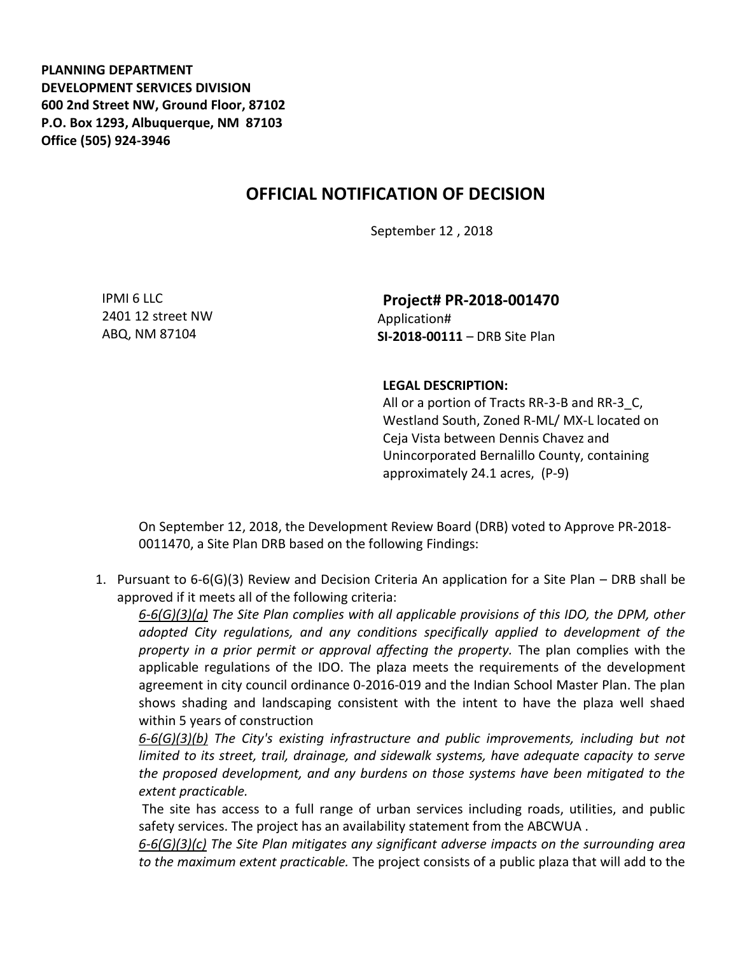**PLANNING DEPARTMENT DEVELOPMENT SERVICES DIVISION 600 2nd Street NW, Ground Floor, 87102 P.O. Box 1293, Albuquerque, NM 87103 Office (505) 924-3946** 

## **OFFICIAL NOTIFICATION OF DECISION**

September 12 , 2018

IPMI 6 LLC 2401 12 street NW ABQ, NM 87104

**Project# PR-2018-001470** Application# **SI-2018-00111** – DRB Site Plan

## **LEGAL DESCRIPTION:**

All or a portion of Tracts RR-3-B and RR-3 C, Westland South, Zoned R-ML/ MX-L located on Ceja Vista between Dennis Chavez and Unincorporated Bernalillo County, containing approximately 24.1 acres, (P-9)

On September 12, 2018, the Development Review Board (DRB) voted to Approve PR-2018- 0011470, a Site Plan DRB based on the following Findings:

1. Pursuant to 6-6(G)(3) Review and Decision Criteria An application for a Site Plan – DRB shall be approved if it meets all of the following criteria:

*6-6(G)(3)(a) The Site Plan complies with all applicable provisions of this IDO, the DPM, other adopted City regulations, and any conditions specifically applied to development of the property in a prior permit or approval affecting the property.* The plan complies with the applicable regulations of the IDO. The plaza meets the requirements of the development agreement in city council ordinance 0-2016-019 and the Indian School Master Plan. The plan shows shading and landscaping consistent with the intent to have the plaza well shaed within 5 years of construction

*6-6(G)(3)(b) The City's existing infrastructure and public improvements, including but not limited to its street, trail, drainage, and sidewalk systems, have adequate capacity to serve the proposed development, and any burdens on those systems have been mitigated to the extent practicable.* 

The site has access to a full range of urban services including roads, utilities, and public safety services. The project has an availability statement from the ABCWUA .

*6-6(G)(3)(c) The Site Plan mitigates any significant adverse impacts on the surrounding area to the maximum extent practicable.* The project consists of a public plaza that will add to the